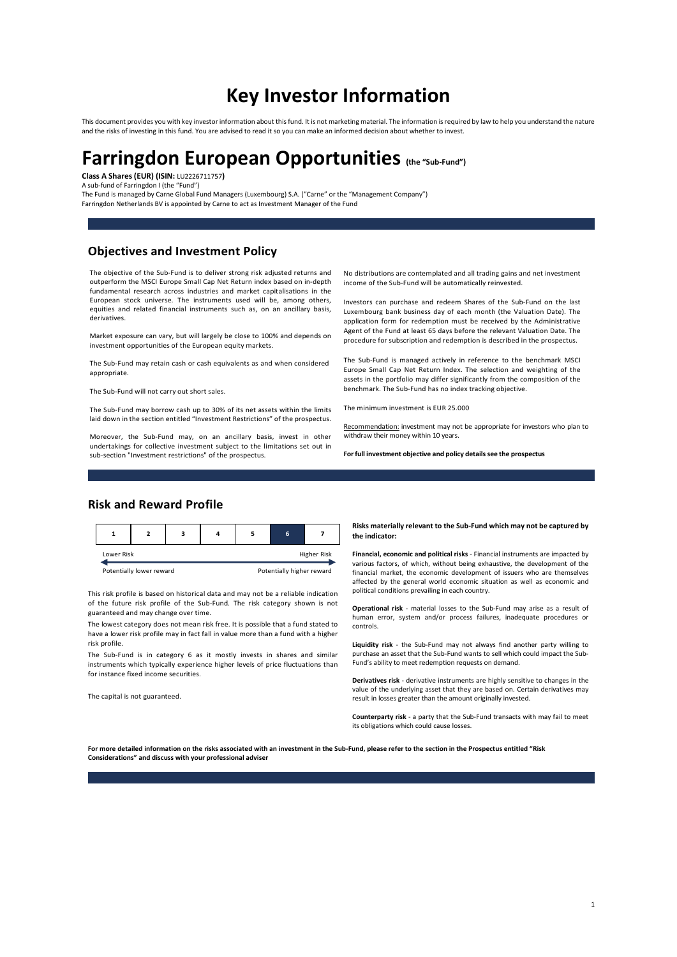# Key Investor Information

This document provides you with key investor information about this fund. It is not marketing material. The information is required by law to help you understand the nature and the risks of investing in this fund. You are advised to read it so you can make an informed decision about whether to invest.

# Farringdon European Opportunities (the "Sub-Fund") Class A Shares (EUR) (ISIN: LU2226711757)

A sub-fund of Farringdon I (the "Fund")

The Fund is managed by Carne Global Fund Managers (Luxembourg) S.A. ("Carne" or the "Management Company") Farringdon Netherlands BV is appointed by Carne to act as Investment Manager of the Fund

#### Objectives and Investment Policy

The objective of the Sub-Fund is to deliver strong risk adjusted returns and outperform the MSCI Europe Small Cap Net Return index based on in-depth fundamental research across industries and market capitalisations in the European stock universe. The instruments used will be, among others, equities and related financial instruments such as, on an ancillary basis, derivatives.

Market exposure can vary, but will largely be close to 100% and depends on investment opportunities of the European equity markets.

The Sub-Fund may retain cash or cash equivalents as and when considered appropriate.

The Sub-Fund will not carry out short sales.

The Sub-Fund may borrow cash up to 30% of its net assets within the limits laid down in the section entitled "Investment Restrictions" of the prospectus.

Moreover, the Sub-Fund may, on an ancillary basis, invest in other undertakings for collective investment subject to the limitations set out in sub-section "Investment restrictions" of the prospectus.

No distributions are contemplated and all trading gains and net investment income of the Sub-Fund will be automatically reinvested.

Investors can purchase and redeem Shares of the Sub-Fund on the last Luxembourg bank business day of each month (the Valuation Date). The application form for redemption must be received by the Administrative Agent of the Fund at least 65 days before the relevant Valuation Date. The procedure for subscription and redemption is described in the prospectus.

The Sub-Fund is managed actively in reference to the benchmark MSCI Europe Small Cap Net Return Index. The selection and weighting of the assets in the portfolio may differ significantly from the composition of the benchmark. The Sub-Fund has no index tracking objective.

The minimum investment is EUR 25.000

Recommendation: investment may not be appropriate for investors who plan to withdraw their money within 10 years.

For full investment objective and policy details see the prospectus

## Risk and Reward Profile

|            |                                                                  |  |  |  |  |  |                    | Risks materially relevant to the Sub-Fund which may not be captured by<br>the indicator:                                                                       |
|------------|------------------------------------------------------------------|--|--|--|--|--|--------------------|----------------------------------------------------------------------------------------------------------------------------------------------------------------|
| Lower Risk |                                                                  |  |  |  |  |  | <b>Higher Risk</b> | Financial, economic and political risks - Financial instruments are impacted by<br>various factors, of which, without being exhaustive, the development of the |
|            | Detectiolly bigher research<br>المعويريوم موربرها برااوناهوه فوا |  |  |  |  |  |                    |                                                                                                                                                                |

This risk profile is based on historical data and may not be a reliable indication of the future risk profile of the Sub-Fund. The risk category shown is not guaranteed and may change over time.

The lowest category does not mean risk free. It is possible that a fund stated to have a lower risk profile may in fact fall in value more than a fund with a higher risk profile.

The Sub-Fund is in category 6 as it mostly invests in shares and similar instruments which typically experience higher levels of price fluctuations than for instance fixed income securities.

The capital is not guaranteed.

Risks materially relevant to the Sub-Fund which may not be captured by

Potentially lower reward **Potentially higher reward** financial market, the economic development of issuers who are themselves various factors, of which, without being exhaustive, the development of the affected by the general world economic situation as well as economic and political conditions prevailing in each country.

> Operational risk - material losses to the Sub-Fund may arise as a result of human error, system and/or process failures, inadequate procedures or controls.

> Liquidity risk - the Sub-Fund may not always find another party willing to purchase an asset that the Sub-Fund wants to sell which could impact the Sub-.<br>Fund's ability to meet redemption requests on demand.

> Derivatives risk - derivative instruments are highly sensitive to changes in the value of the underlying asset that they are based on. Certain derivatives may result in losses greater than the amount originally invested.

> Counterparty risk - a party that the Sub-Fund transacts with may fail to meet its obligations which could cause losses

For more detailed information on the risks associated with an investment in the Sub-Fund, please refer to the section in the Prospectus entitled "Risk Considerations" and discuss with your professional adviser